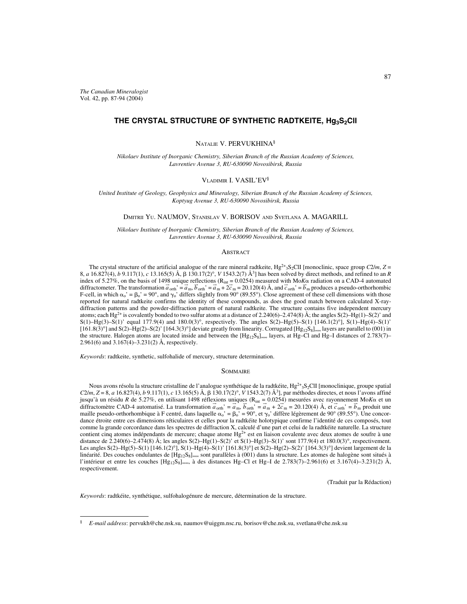*The Canadian Mineralogist* Vol. 42, pp. 87-94 (2004)

# THE CRYSTAL STRUCTURE OF SYNTHETIC RADTKEITE, Hg<sub>3</sub>S<sub>2</sub>CII

NATALIE V. PERVUKHINA§

*Nikolaev Institute of Inorganic Chemistry, Siberian Branch of the Russian Academy of Sciences, Lavrentiev Avenue 3, RU-630090 Novosibirsk, Russia*

# VLADIMIR I. VASIL'EV§

*United Institute of Geology, Geophysics and Mineralogy, Siberian Branch of the Russian Academy of Sciences, Koptyug Avenue 3, RU-630090 Novosibirsk, Russia*

### DMITRII YU. NAUMOV, STANISLAV V. BORISOV AND SVETLANA A. MAGARILL

*Nikolaev Institute of Inorganic Chemistry, Siberian Branch of the Russian Academy of Sciences, Lavrentiev Avenue 3, RU-630090 Novosibirsk, Russia*

# **ABSTRACT**

The crystal structure of the artificial analogue of the rare mineral radtkeite,  $Hg^{2+3}S_2CII$  [monoclinic, space group  $C2/m$ ,  $Z =$ 8, *a* 16.827(4), *b* 9.117(1), *c* 13.165(5) Å, 130.17(2)°, *V* 1543.2(7) Å3] has been solved by direct methods, and refined to an *R* index of 5.27%, on the basis of 1498 unique reflections ( $R_{int} = 0.0254$ ) measured with Mo*K* $\alpha$  radiation on a CAD-4 automated diffractometer. The transformation  $\vec{a}_{\text{orth}}' = \vec{a}_{\text{m}}$ ,  $\vec{b}_{\text{orth}}' = \vec{a}_{\text{m}} + 2\vec{c}_{\text{m}} = 20.120(4)$  Å, and  $\vec{c}_{\text{orth}}' = \vec{b}_{\text{m}}$  produces a pseudo-orthorhombic F-cell, in which  $\alpha_0' = \beta_0' = 90^\circ$ , and  $\gamma_0'$  differs slightly from 90° (89.55°). Close agreement of these cell dimensions with those reported for natural radtkeite confirms the identity of these compounds, as does the good match between calculated X-raydiffraction patterns and the powder-diffraction pattern of natural radtkeite. The structure contains five independent mercury atoms; each Hg<sup>2+</sup> is covalently bonded to two sulfur atoms at a distance of 2.240(6)–2.474(8) Å; the angles S(2)–Hg(1)–S(2)' and S(1)–Hg(3)–S(1)' equal 177.9(4) and 180.0(3)°, respectively. The angles S(2)–Hg(5)–S(1) [146.1(2)°], S(1)–Hg(4)–S(1)'  $[161.8(3)°]$  and S(2)–Hg(2)–S(2)'  $[164.3(3)°]$  deviate greatly from linearity. Corrugated  $[Hg_{12}S_8]_{\infty}$  layers are parallel to (001) in the structure. Halogen atoms are located inside and between the [Hg<sub>12</sub>S<sub>8</sub>]<sub>∞∞</sub> layers, at Hg–Cl and Hg–I distances of 2.783(7)– 2.961(6) and 3.167(4)–3.231(2) Å, respectively.

*Keywords*: radtkeite, synthetic, sulfohalide of mercury, structure determination.

#### **SOMMAIRE**

Nous avons résolu la structure cristalline de l'analogue synthétique de la radtkéite, Hg<sup>2+</sup><sub>3</sub>S<sub>2</sub>ClI [monoclinique, groupe spatial *C*2/*m*, *Z* = 8, *a* 16.827(4), *b* 9.117(1), *c* 13.165(5) Å,  $\beta$  130.17(2)°, *V* 1543.2(7) Å<sup>3</sup>], par méthodes directes, et nous l'avons affiné jusqu'à un résidu *R* de 5.27%, en utilisant 1498 réflexions uniques ( $R_{int} = 0.0254$ ) mesurées avec rayonnement Mo*K* $\alpha$  et un diffractomètre CAD-4 automatisé. La transformation  $\vec{a}_{\text{orth}} = \vec{a}_{\text{m}}$ ,  $\vec{b}_{\text{orth}} = \vec{a}_{\text{m}} + 2\vec{c}_{\text{m}} = 20.120(4)$  Å, et  $\vec{c}_{\text{orth}}' = \vec{b}_{\text{m}}$  produit une maille pseudo-orthorhombique à F centré, dans laquelle  $\alpha_0' = \beta_0' = 90^\circ$ , et  $\gamma_0'$  diffère légèrement de 90° (89.55°). Une concordance étroite entre ces dimensions réticulaires et celles pour la radtkéite holotypique confirme l'identité de ces composés, tout comme la grande corcordance dans les spectres de diffraction X, calculé d'une part et celui de la radtkéite naturelle. La structure contient cinq atomes indépendants de mercure; chaque atome  $Hg^{2+}$  est en liaison covalente avec deux atomes de soufre à une distance de 2.240(6)–2.474(8) Å; les angles S(2)–Hg(1)–S(2)' et S(1)–Hg(3)–S(1)' sont 177.9(4) et 180.0(3)°, respectivement. Les angles S(2)–Hg(5)–S(1) [146.1(2)°], S(1)–Hg(4)–S(1)' [161.8(3)°] et S(2)–Hg(2)–S(2)' [164.3(3)°] devient largement de la linéarité. Des couches ondulantes de [Hg12S8]∞∞ sont parallèles à (001) dans la structure. Les atomes de halogène sont situés à l'intérieur et entre les couches [Hg12S8]∞∞, à des distances Hg–Cl et Hg–I de 2.783(7)–2.961(6) et 3.167(4)–3.231(2) Å, respectivement.

(Traduit par la Rédaction)

*Keywords*: radtkéite, synthétique, sulfohalogénure de mercure, détermination de la structure.

<sup>§</sup> *E-mail address*: pervukh@che.nsk.su, naumov@uiggm.nsc.ru, borisov@che.nsk.su, svetlana@che.nsk.su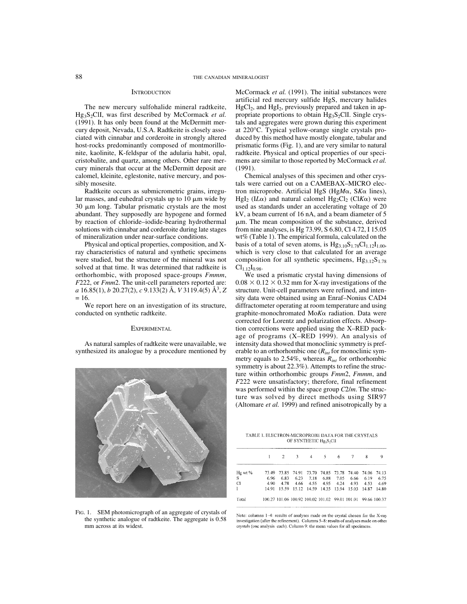#### **INTRODUCTION**

The new mercury sulfohalide mineral radtkeite, Hg<sub>3</sub>S<sub>2</sub>ClI, was first described by McCormack *et al.* (1991). It has only been found at the McDermitt mercury deposit, Nevada, U.S.A. Radtkeite is closely associated with cinnabar and corderoite in strongly altered host-rocks predominantly composed of montmorillonite, kaolinite, K-feldspar of the adularia habit, opal, cristobalite, and quartz, among others. Other rare mercury minerals that occur at the McDermitt deposit are calomel, kleinite, eglestonite, native mercury, and possibly mosesite.

Radtkeite occurs as submicrometric grains, irregular masses, and euhedral crystals up to  $10 \mu m$  wide by  $30 \mu m$  long. Tabular prismatic crystals are the most abundant. They supposedly are hypogene and formed by reaction of chloride–iodide-bearing hydrothermal solutions with cinnabar and corderoite during late stages of mineralization under near-surface conditions.

Physical and optical properties, composition, and Xray characteristics of natural and synthetic specimens were studied, but the structure of the mineral was not solved at that time. It was determined that radtkeite is orthorhombic, with proposed space-groups *Fmmm*, *F*222, or *Fmm*2. The unit-cell parameters reported are: *a* 16.85(1), *b* 20.27(2), *c* 9.133(2) Å, *V* 3119.4(5) Å3, *Z*  $= 16.$ 

We report here on an investigation of its structure, conducted on synthetic radtkeite.

## **EXPERIMENTAL**

As natural samples of radtkeite were unavailable, we synthesized its analogue by a procedure mentioned by



FIG. 1. SEM photomicrograph of an aggregate of crystals of the synthetic analogue of radtkeite. The aggregate is 0.58 mm across at its widest.

McCormack *et al.* (1991). The initial substances were artificial red mercury sulfide HgS, mercury halides  $HgCl<sub>2</sub>$ , and  $HgI<sub>2</sub>$ , previously prepared and taken in appropriate proportions to obtain  $Hg_3S_2CII$ . Single crystals and aggregates were grown during this experiment at 220°C. Typical yellow-orange single crystals produced by this method have mostly elongate, tabular and prismatic forms (Fig. 1), and are very similar to natural radtkeite. Physical and optical properties of our specimens are similar to those reported by McCormack *et al.* (1991).

Chemical analyses of this specimen and other crystals were carried out on a CAMEBAX–MICRO electron microprobe. Artificial HgS (HgMα, SKα lines), HgI<sub>2</sub> (IL $\alpha$ ) and natural calomel Hg<sub>2</sub>Cl<sub>2</sub> (ClK $\alpha$ ) were used as standards under an accelerating voltage of 20 kV, a beam current of 16 nA, and a beam diameter of 5 m. The mean composition of the substance, derived from nine analyses, is Hg 73.99, S 6.80, Cl 4.72, I 15.05 wt% (Table 1). The empirical formula, calculated on the basis of a total of seven atoms, is  $Hg_{3,10}S_{1,78}Cl_{1,12}I_{1,00}$ , which is very close to that calculated for an average composition for all synthetic specimens,  $Hg_{3,12}S_{1,78}$  $Cl<sub>1.12</sub>I<sub>0.98</sub>$ .

We used a prismatic crystal having dimensions of  $0.08 \times 0.12 \times 0.32$  mm for X-ray investigations of the structure. Unit-cell parameters were refined, and intensity data were obtained using an Enraf–Nonius CAD4 diffractometer operating at room temperature and using graphite-monochromated MoKa radiation. Data were corrected for Lorentz and polarization effects. Absorption corrections were applied using the X–RED package of programs (X–RED 1999). An analysis of intensity data showed that monoclinic symmetry is preferable to an orthorhombic one (*Rint* for monoclinic symmetry equals to 2.54%, whereas *Rint* for orthorhombic symmetry is about 22.3%). Attempts to refine the structure within orthorhombic groups *Fmm*2, *Fmmm*, and *F*222 were unsatisfactory; therefore, final refinement was performed within the space group *C*2/*m*. The structure was solved by direct methods using SIR97 (Altomare *et al.* 1999) and refined anisotropically by a

TABLE 1. ELECTRON-MICROPROBE DATA FOR THE CRYSTALS OF SYNTHETIC Hg<sub>3</sub>S<sub>2</sub>ClI

|           |       | $\overline{2}$ | $\mathcal{L}$ | $\overline{4}$ | 5.                                  | 6    |                                                              | 8     | 9           |
|-----------|-------|----------------|---------------|----------------|-------------------------------------|------|--------------------------------------------------------------|-------|-------------|
| $Hg$ wt % | 73.49 |                |               |                | 73.85 74.91 73.70 74.85 73.78 74.40 |      |                                                              |       | 74.06 74.13 |
| s         | 6.96  | 6.83           | 6.23          | 7.18           | 6.88                                | 7.05 | 6.66                                                         | 6.19  | 6.75        |
| C1        | 4.90  | 4.78           | 4.66          |                | 4.55 4.95                           | 4.24 | 4.93                                                         | 4.53  | 4.69        |
| L         | 1491  | 15.59          |               |                | 15.12 14.59 14.35 13.94 15.03       |      |                                                              | 14.87 | 14.80       |
| Total     |       |                |               |                |                                     |      | 100.27 101.06 100.92 100.02 101.02 99.01 101.01 99.66 100.37 |       |             |

Note: columns 1-4: results of analyses made on the crystal chosen for the X-ray investigation (after the refinement). Columns 5-8: results of analyses made on other erystals (one analysis each). Column 9: the mean values for all specimens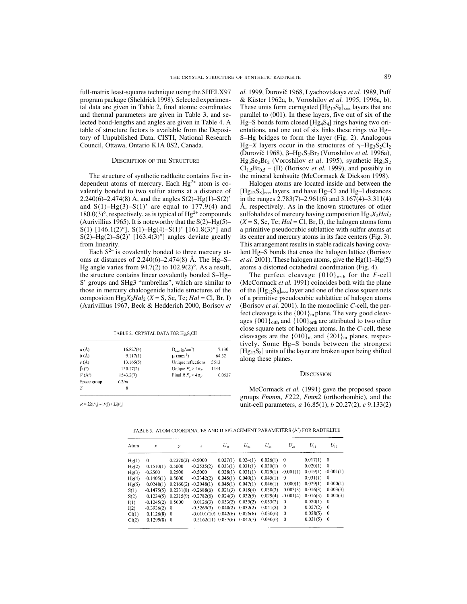full-matrix least-squares technique using the SHELX97 program package (Sheldrick 1998). Selected experimental data are given in Table 2, final atomic coordinates and thermal parameters are given in Table 3, and selected bond-lengths and angles are given in Table 4. A table of structure factors is available from the Depository of Unpublished Data, CISTI, National Research Council, Ottawa, Ontario K1A 0S2, Canada.

#### DESCRIPTION OF THE STRUCTURE

The structure of synthetic radtkeite contains five independent atoms of mercury. Each  $Hg^{2+}$  atom is covalently bonded to two sulfur atoms at a distance of 2.240(6)–2.474(8) Å, and the angles  $S(2)$ –Hg(1)–S(2)' and  $S(1)$ –Hg(3)– $S(1)$ ' are equal to 177.9(4) and 180.0(3)°, respectively, as is typical of  $Hg^{2+}$  compounds (Aurivillius 1965). It is noteworthy that the  $S(2)$ –Hg(5)– S(1) [146.1(2)°], S(1)-Hg(4)-S(1)' [161.8(3)°] and S(2)–Hg(2)–S(2)' [163.4(3)°] angles deviate greatly from linearity.

Each  $S^{2-}$  is covalently bonded to three mercury atoms at distances of  $2.240(6)-2.474(8)$  Å. The Hg-S-Hg angle varies from  $94.7(2)$  to  $102.9(2)$ °. As a result, the structure contains linear covalently bonded S–Hg– S' groups and SHg3 "umbrellas", which are similar to those in mercury chalcogenide halide structures of the composition  $Hg_3X_2Hal_2$  (*X* = S, Se, Te; *Hal* = Cl, Br, I) (Aurivillius 1967, Beck & Hedderich 2000, Borisov *et*

| a(A)         | 16.827(4) | $D_{\text{calc}}(g/cm^3)$     | 7.130  |
|--------------|-----------|-------------------------------|--------|
| $b(\Lambda)$ | 9.117(1)  | $\mu$ (mm <sup>-1</sup> )     | 64.32  |
| c(A)         | 13.165(5) | Unique reflections            | 5613   |
| $\beta$ (°)  | 130.17(2) | Unique $F_a > 4\sigma_g$      | 1444   |
| $V(\AA^3)$   | 1543.2(7) | Final R $F_a > 4\sigma_{\nu}$ | 0.0527 |
| Space group  | C2/m      |                               |        |
| Z            | 8         |                               |        |

TABLE 2. CRYSTAL DATA FOR Hg<sub>3</sub>S<sub>2</sub>CII

 $R = \sum(|F_o| - |F_c|) / \sum|F_o|$ 

*al.* 1999, Duroviˇ ˇ c 1968, Lyachovtskaya *et al.* 1989, Puff & Küster 1962a, b, Voroshilov *et al.* 1995, 1996a, b). These units form corrugated  $[Hg_{12}S_8]_{\infty}$  layers that are parallel to (001). In these layers, five out of six of the Hg–S bonds form closed [Hg4S4] rings having two orientations, and one out of six links these rings *via* Hg– S–Hg bridges to form the layer (Fig. 2). Analogous Hg–*X* layers occur in the structures of  $\gamma$ –Hg<sub>3</sub>S<sub>2</sub>Cl<sub>2</sub> (Durovič 1968),  $\beta$ -Hg<sub>3</sub>S<sub>2</sub>Br<sub>2</sub> (Voroshilov *et al.* 1996a), Hg<sub>3</sub>Se<sub>2</sub>Br<sub>2</sub> (Voroshilov *et al.* 1995), synthetic Hg<sub>3</sub>S<sub>2</sub>  $CI_{1.5}Br_{0.5}$  – (II) (Borisov *et al.* 1999), and possibly in the mineral kenhsuite (McCormack & Dickson 1998).

Halogen atoms are located inside and between the  $[Hg<sub>12</sub>S<sub>8</sub>]<sub>∞∞</sub>$  layers, and have Hg–Cl and Hg–I distances in the ranges 2.783(7)–2.961(6) and 3.167(4)–3.311(4) Å, respectively. As in the known structures of other sulfohalides of mercury having composition Hg<sub>3</sub>*X*<sub>2</sub>*Hal*<sub>2</sub>  $(X = S, Se, Te; Hal = Cl, Br, I)$ , the halogen atoms form a primitive pseudocubic sublattice with sulfur atoms at its center and mercury atoms in its face centers (Fig. 3). This arrangement results in stable radicals having covalent Hg–S bonds that cross the halogen lattice (Borisov *et al.* 2001). These halogen atoms, give the  $Hg(1)$ – $Hg(5)$ atoms a distorted octahedral coordination (Fig. 4).

The perfect cleavage  $\{010\}$ <sub>orth</sub> for the *F*-cell (McCormack *et al.* 1991) coincides both with the plane of the  $[Hg_{12}S_8]_{\infty}$  layer and one of the close square nets of a primitive pseudocubic sublattice of halogen atoms (Borisov *et al.* 2001). In the monoclinic *C*-cell, the perfect cleavage is the  ${001}$ <sub>m</sub> plane. The very good cleavages  ${001}$ <sub>orth</sub> and  ${100}$ <sub>orth</sub> are attributed to two other close square nets of halogen atoms. In the *C*-cell, these cleavages are the  ${010}_{m}$  and  ${201}_{m}$  planes, respectively. Some Hg–S bonds between the strongest  $[Hg_{12}S_8]$  units of the layer are broken upon being shifted along these planes.

#### **DISCUSSION**

McCormack *et al.* (1991) gave the proposed space groups *Fmmm*, *F*222, *Fmm*2 (orthorhombic), and the unit-cell parameters, *a* 16.85(1), *b* 20.27(2), *c* 9.133(2)

TABLE 3. ATOM COORDINATES AND DISPLACEMENT PARAMETERS (Å<sup>2</sup>) FOR RADTKEITE

| Atom  | $\boldsymbol{x}$    | ν         | z                                     | $U_{11}$ | $U_{\mathcal{D}}$     | $U_{33}$     | $U_{\mathfrak{D}}$   | $U_{13}$     | $U_{12}$    |
|-------|---------------------|-----------|---------------------------------------|----------|-----------------------|--------------|----------------------|--------------|-------------|
| Hg(1) | $\mathbf{0}$        | 0.2270(2) | $-0.5000$                             |          | $0.027(1)$ $0.024(1)$ | $0.026(1)$ 0 |                      | $0.017(1)$ 0 |             |
| Hg(2) | 0.1510(1)           | 0.5000    | $-0.2535(2)$                          |          | $0.033(1)$ $0.031(1)$ | $0.030(1)$ 0 |                      | $0.020(1)$ 0 |             |
| Hg(3) | $-0.2500$           | 0.2500    | $-0.5000$                             |          | $0.028(1)$ $0.031(1)$ |              | $0.029(1) -0.001(1)$ | 0.019(1)     | $-0.001(1)$ |
| Hg(4) | $-0.1405(1)$        | 0.5000    | $-0.2342(2)$                          |          | $0.045(1)$ $0.040(1)$ | 0.045(1)     | $\overline{0}$       | 0.031(1)     | $\bf{0}$    |
| Hg(5) | 0.0248(1)           |           | $0.2160(2) -0.2048(1)$                |          | $0.045(1)$ $0.047(1)$ | 0.046(1)     | 0.000(1)             | 0.029(1)     | 0.000(1)    |
| S(1)  |                     |           | $-0.1475(5)$ $0.2331(8)$ $-0.2688(6)$ |          | $0.021(3)$ $0.018(4)$ | 0.030(3)     | 0.003(3)             | 0.016(3)     | 0.003(3)    |
| S(2)  |                     |           | $0.1234(5)$ $0.2315(9)$ $-0.2782(6)$  |          | $0.024(3)$ $0.032(5)$ |              | $0.029(4) -0.001(4)$ | 0.016(3)     | 0.004(3)    |
| I(1)  | $-0.1245(2)$ 0.5000 |           | 0.0126(3)                             |          | $0.033(2)$ $0.035(2)$ | $0.033(2)$ 0 |                      | 0.020(1)     | $\theta$    |
| I(2)  | $-0.3936(2)$ 0      |           | $-0.5269(3)$                          |          | $0.040(2)$ $0.032(2)$ | $0.041(2)$ 0 |                      | 0.027(2)     | $\theta$    |
| Cl(1) | $0.1126(8)$ 0       |           | $-0.0101(10)$ $0.042(6)$ $0.026(6)$   |          |                       | $0.030(6)$ 0 |                      | 0.028(5)     | $\theta$    |
| Cl(2) | $0.1299(8)$ 0       |           | $-0.5162(11)$ $0.037(6)$ $0.042(7)$   |          |                       | $0.040(6)$ 0 |                      | 0.031(5)     | $\bf{0}$    |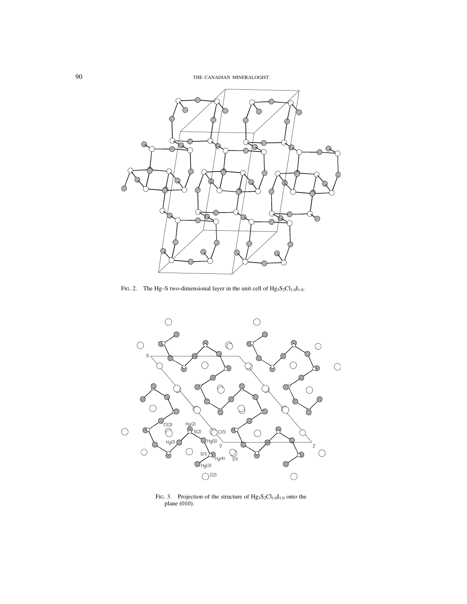90 THE CANADIAN MINERALOGIST



FIG. 2. The Hg–S two-dimensional layer in the unit cell of  $Hg_3S_2Cl_{1,0}I_{1,0}$ .



FIG. 3. Projection of the structure of  $Hg_3S_2Cl_{1,0}I_{1,0}$  onto the plane (010).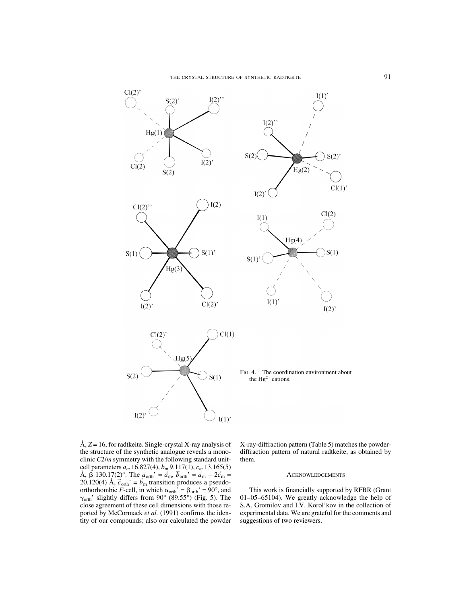

Å, *Z* = 16, for radtkeite. Single-crystal X-ray analysis of the structure of the synthetic analogue reveals a monoclinic *C*2/*m* symmetry with the following standard unitcell parameters *am* 16.827(4), *bm* 9.117(1), *cm* 13.165(5) Å,  $\beta$  130.17(2)°. The  $\vec{a}_{\text{orth}}' = \vec{a}_{\text{m}}$ ,  $\vec{b}_{\text{orth}}' = \vec{a}_{\text{m}} + 2\vec{c}_{\text{m}} =$ 20.120(4) Å,  $\vec{c}_{\text{orth}}' = \vec{b}_{\text{m}}$  transition produces a pseudoorthorhombic *F*-cell, in which  $\alpha_{\text{orth}}' = \beta_{\text{orth}}' = 90^{\circ}$ , and  $\gamma_{\text{orth}}$ ' slightly differs from 90° (89.55°) (Fig. 5). The close agreement of these cell dimensions with those reported by McCormack et al. (1991) confirms the identity of our compounds; also our calculated the powder X-ray-diffraction pattern (Table 5) matches the powderdiffraction pattern of natural radtkeite, as obtained by them.

## **ACKNOWLEDGEMENTS**

This work is financially supported by RFBR (Grant 01–05–65104). We greatly acknowledge the help of S.A. Gromilov and I.V. Korol'kov in the collection of experimental data. We are grateful for the comments and suggestions of two reviewers.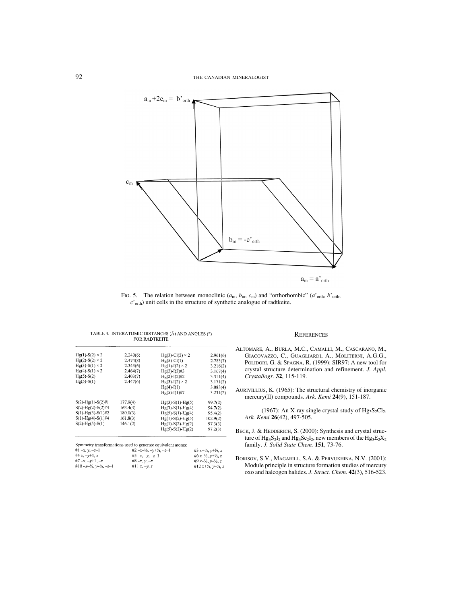92 THE CANADIAN MINERALOGIST



FIG. 5. The relation between monoclinic  $(a_m, b_m, c_m)$  and "orthorhombic"  $(a'_{\text{orth}}, b'_{\text{orth}})$ *c*'orth) unit cells in the structure of synthetic analogue of radtkeite.

| $Hg(1)-S(2) \times 2$                                                             | 2.240(6)            | $Hg(3)-Cl(2) \times 2$                                 | 2.961(6)                                   |
|-----------------------------------------------------------------------------------|---------------------|--------------------------------------------------------|--------------------------------------------|
| $Hg(2)-S(2) \times 2$                                                             | 2.474(8)            | $Hg(5)-Cl(1)$                                          | 2.783(7)                                   |
| $Hg(3)-S(1)\times 2$                                                              | 2.343(6)            | $Hg(1)-I(2)\times 2$                                   | 3.216(2)                                   |
| $Hg(4)-S(1)\times 2$                                                              | 2.464(7)            | $Hg(2)-I(2)\#3$                                        | 3.167(4)                                   |
| $Hg(5)-S(2)$                                                                      | 2.403(7)            | $Hg(2)-I(2)\#2$                                        | 3.311(4)                                   |
| $Hg(5)-S(1)$                                                                      | 2.447(6)            | $Hg(3)-I(2) \times 2$                                  | 3.171(2)                                   |
|                                                                                   |                     | $Hg(4)-I(1)$                                           | 3.083(4)                                   |
|                                                                                   |                     | $Hg(5)-I(1)\#7$                                        | 3.231(2)                                   |
| $S(2)$ -Hg(1)- $S(2)\#1$                                                          | 177.9(4)            | $Hg(3)-S(1)-Hg(5)$                                     | 99.7(2)                                    |
| $S(2)$ -Hg(2)-S(2)#4                                                              | 163.4(3)            | $Hg(3)-S(1)-Hg(4)$                                     | 94.7(2)                                    |
| $S(1)$ -Hg(3)-S(1)#2                                                              | 180.0(3)            | $Hg(5)-S(1)-Hg(4)$                                     | 95.4(2)                                    |
| $S(1)$ -Hg(4)-S(1)#4                                                              | 161.8(3)            | $Hg(1)-S(2)-Hg(5)$                                     | 102.9(2)                                   |
| $S(2)$ -Hg(5)-S(1)                                                                | 146.1(2)            | $Hg(1)-S(2)-Hg(2)$                                     | 97.3(3)                                    |
|                                                                                   |                     | $Hg(5)-S(2)-Hg(2)$                                     | 97.2(3)                                    |
| Symmetry transformations used to generate equivalent atoms:<br># $1 - x, y, -z-1$ |                     | $#2 - x - \frac{1}{2}, -\frac{1}{2}, -\frac{1}{2} - 1$ | #3 $x+y_2, y+y_2, z$                       |
| #4 x, $-y+1$ , z                                                                  | #5 $-x, -\nu, -\nu$ |                                                        | #6 x- $\frac{1}{2}$ , y+ $\frac{1}{2}$ , z |
| #7-x, $-v+1$ , $-z$                                                               | $#8-x, y, -z$       |                                                        | #9 x-1/2, y-1/2, z                         |
| #10-x-1/2, $y$ -1/2, -z-1                                                         | #11 $x, -y, z$      |                                                        | #12 $x+y_2, y-y_2, z$                      |
|                                                                                   |                     |                                                        |                                            |

- ALTOMARE, A., BURLA, M.C., CAMALLI, M., CASCARANO, M., GIACOVAZZO, C., GUAGLIARDI, A., MOLITERNI, A.G.G., POLIDORI, G. & SPAGNA, R. (1999): SIR97: A new tool for crystal structure determination and refinement. *J. Appl. Crystallogr.* **32**, 115-119.
- AURIVILLIUS, K. (1965): The structural chemistry of inorganic mercury(II) compounds. *Ark. Kemi* **24**(9), 151-187.
	- (1967): An X-ray single crystal study of  $Hg_3S_2Cl_2$ . *Ark. Kemi* **26**(42), 497-505.
- BECK, J. & HEDDERICH, S. (2000): Synthesis and crystal structure of  $Hg_3S_2I_2$  and  $Hg_3Se_2I_2$ , new members of the  $Hg_3E_2X_2$ family. *J. Solid State Chem.* **151**, 73-76.
- BORISOV, S.V., MAGARILL, S.A. & PERVUKHINA, N.V. (2001): Module principle in structure formation studies of mercury oxo and halcogen halides. *J. Struct. Chem.* **42**(3), 516-523.

|  |                      | TABLE 4. INTERATOMIC DISTANCES (Å) AND ANGLES (°) |  |
|--|----------------------|---------------------------------------------------|--|
|  | <b>FOR RADTKEITE</b> |                                                   |  |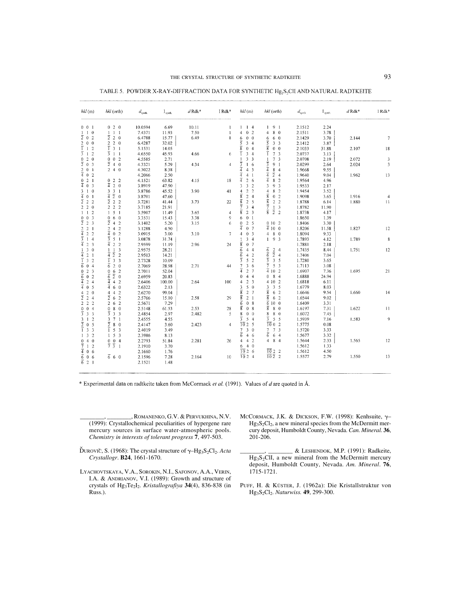| hkl(m)                                             | hkl (orth)                                      | $d_{\text{switch}}$ | I <sub>synth</sub> | $dRdk*$ | I Rdk*       | hkl(m)                                       | hkl (orth)                                                                                | $d_{\rm{synth}}$ | I <sub>synth</sub> | $d$ Rdk* | I Rdk*          |
|----------------------------------------------------|-------------------------------------------------|---------------------|--------------------|---------|--------------|----------------------------------------------|-------------------------------------------------------------------------------------------|------------------|--------------------|----------|-----------------|
| $0 \t 0 \t 1$                                      | 020                                             | 10.0594             | 6.69               | 10.11   |              | $1 \t1 \t4$                                  | $1 \t9 \t1$                                                                               | 2.1512           | 2.24               |          |                 |
| $1\quad1\quad0$                                    | $1\quad1$<br>-1                                 | 7.4371              | 11.93              | 7.50    | $\mathbf{1}$ | $\theta$<br>$\overline{c}$<br>4              | 80<br>4                                                                                   | 2.1511           | 3.78               |          |                 |
| $\overline{2}$ 0 2                                 | $\overline{2}$ 2 0                              | 6.4788              | 15.77              | 6.49    | 8            | $0\quad 0$<br>6                              | 6 0<br>6                                                                                  | 2.1429           | 3.70               | 2.144    | $\overline{7}$  |
| $2\quad 0\quad 0$                                  | 2 <sub>2</sub><br>$\overline{0}$                | 6.4287              | 32.02              |         |              | $\overline{5}$<br>3 <sub>4</sub>             | 3<br>3 <sup>3</sup>                                                                       | 2.1412           | 3.87               |          |                 |
| $\overline{1}$ 1<br>$\overline{2}$                 | $\overline{1}$ 3 1                              | 5.1531              | 14.05              |         |              | $\overline{8}$<br>0 <sub>4</sub>             | $\overline{8}$<br>$0\quad 0$                                                              | 2.1033           | 31.88              | 2.107    | 18              |
| $\overline{3}$ 1<br>$\overline{c}$                 | $\overline{3}$ 1<br>$\mathbf{1}$                | 4.6550              | 45.93              | 4.66    | 6            | ī<br>$3 - 4$                                 | ī<br>7 <sub>3</sub>                                                                       | 2.0737           | 3.13               |          |                 |
| $0 \t2 \t0$                                        | $0 \t0 \t2$                                     | 4.5585              | 2.71               |         |              | 3 <sup>3</sup><br>1                          | 7 <sub>3</sub><br>-1                                                                      | 2.0708           | 2.19               | 2.072    | $\sqrt{3}$      |
| $\overline{2}$ 0 3                                 | $\overline{2}$ 4 0                              | 4.3321              | 5.29               | 4.34    | 4            | $\frac{1}{4}$<br>$1\quad6$                   | $\overline{3}$<br>9 <sub>1</sub>                                                          | 2.0299           | 2.64               | 2.024    | 3               |
| $2 \t0 \t1$                                        | 240                                             | 4.3022              | 8.38               |         |              | 4 <sub>3</sub>                               | $\overline{4}$<br>84                                                                      | 1.9668           | 9.55               |          |                 |
| $\overline{4}$ 0 2                                 |                                                 | 4.2066              | 2.50               |         |              | $\overline{4}$<br>4 <sub>1</sub>             | $\overline{4}$<br>$\overline{2}$ 4                                                        | 1.9640           | 9.04               | 1.962    | 13              |
| $0 \t2 \t1$                                        | 022                                             | 4.1521              | 63.82              | 4.15    | 18           | $\overline{4}$<br>2 6                        | $\overline{4}$<br>8 2                                                                     | 1.9564           | 4.96               |          |                 |
| $\frac{1}{4}$ 0 3                                  | $\overline{4}$ 2<br>$\theta$                    | 3.8919              | 47.90              |         |              | 3 <sub>2</sub><br>3                          | 3<br>9 <sub>3</sub>                                                                       | 1.9533           | 2.17               |          |                 |
| $3 \t1 \t0$                                        | 3 <sup>3</sup><br>-1                            | 3.8786              | 45.52              | 3.90    | 41           | 2 <sub>2</sub><br>$\overline{\mathbf{4}}$    | 8 <sub>2</sub><br>$\overline{4}$                                                          | 1.9454           | 3.52               |          |                 |
| $\frac{1}{4}$ 0 1                                  | $\overline{4}$ $\overline{2}$<br>$\overline{0}$ | 3.8701              | 47.60              |         |              | $\overline{8}$<br>2 <sub>4</sub>             | $\overline{8}$<br>0 <sub>2</sub>                                                          | 1.9098           | 3.65               | 1.916    |                 |
| $\overline{2}$ 2 2                                 | $\overline{2}$ 2 2                              | 3.7281              | 41.44              | 3.73    | 22           | $\overline{8}$<br>2 5                        | $\overline{8}$<br>2 <sub>2</sub>                                                          | 1.8788           | 6.14               | 1.880    | 11              |
| 220                                                | $2 \t2 \t2$                                     | 3.7185              | 21.91              |         |              | 7<br>$3 - 4$                                 | $\overline{7}$                                                                            | 1.8782           | 11.90              |          |                 |
| $\overline{2}$<br>$1\quad1$                        | 1 <sub>5</sub><br>$\blacksquare$                | 3.5907              | 11.49              | 3.65    | 4            | $\overline{8}$<br>2 <sub>3</sub>             | $\frac{1}{2}$ $\frac{3}{2}$<br>$\overline{8}$                                             | 1.8738           | 4.17               |          |                 |
| $0 \t 0 \t 3$                                      | 0, 6, 0                                         | 3.3531              | 15.43              | 3.38    | 9            | 0 <sub>1</sub><br>6                          |                                                                                           | 1.8650           | 1.39               |          |                 |
| $\overline{2}$ 2 3                                 | $\overline{2}$ 4 2                              | 3.1402              | 5.20               | 3.15    | 6            | 2 <sub>5</sub><br>$\mathbf{0}$               | 0102                                                                                      | 1.8406           | 3.30               |          |                 |
| $2 \ 2 \ 1$                                        | 242                                             | 3.1288              | 4.50               |         |              | $\overline{4}$<br>0 <sub>7</sub>             | $\frac{1}{4}$ 10 0                                                                        | 1.8206           | 11.58              | 1.827    | 12              |
| $\overline{4}$<br>2 <sub>2</sub>                   | $\overline{4}$ 0 2                              | 3.0915              | 3.00               | 3.10    | 7            | 0 <sub>3</sub><br>$\overline{4}$             | 8 <sub>0</sub><br>$\overline{4}$                                                          | 1.8094           | 9.33               |          |                 |
| $\overline{3}$<br>14                               | $\overline{3}$ 5<br>$\mathbf{1}$                | 3.0878              | 31.74              |         |              | 34                                           |                                                                                           |                  |                    | 1.789    | $\bf 8$         |
|                                                    | 2 <sub>2</sub>                                  |                     |                    |         |              |                                              | $1 \t9 \t3$                                                                               | 1.7893           | 4.12               |          |                 |
| $\overline{4}$<br>2 <sub>3</sub>                   | $\overline{4}$                                  | 2.9599              | 11.19              | 2.96    | 24           | $\overline{8}$<br>0 <sub>7</sub>             |                                                                                           | 1.7881           | 2.18               |          |                 |
| 30<br>$\mathbf{I}$                                 | $\overline{3}$<br>$1\quad1$                     | 2.9575              | 28.21              |         |              | $\overline{6}$<br>44                         | $\overline{6}$<br>2 <sub>4</sub>                                                          | 1.7435           | 8.44               | 1.751    | 12              |
| 4<br>2 <sub>1</sub>                                | $\overline{4}$ $\overline{2}$<br>$\overline{2}$ | 2.9503              | 14.21              |         |              | 3<br>4 <sub>2</sub>                          | $\overline{6}$<br>$\overline{2}$ 4                                                        | 1.7406           | 7.04               |          |                 |
| ī<br>3 <sub>2</sub>                                | $\overline{3}$<br>ī<br>$\overline{\mathbf{3}}$  | 2.7328              | 10.09              |         |              | 3<br>5 <sub>2</sub>                          | $\overline{3}$<br>3 <sub>5</sub>                                                          | 1.7280           | 3.65               |          |                 |
| $\overline{6}$<br>0 <sub>4</sub>                   | $\overline{6}$ 2<br>$\overline{0}$              | 2.7069              | 28.98              | 2.71    | 44           | 7<br>36                                      | 7<br>5 <sub>3</sub>                                                                       | 1.7113           | 3.08               |          |                 |
| 2 <sub>3</sub><br>$\mathbf{0}$                     | 0 <sub>6</sub><br>$\overline{2}$                | 2.7011              | 52.04              |         |              | $\overline{4}$<br>2 <sub>7</sub>             | $\frac{1}{4}$ 10 2                                                                        | 1.6907           | 7.36               | 1.695    | 21              |
| $\overline{6}$<br>$\theta$<br>$\overline{2}$       | $\overline{6}$ $\overline{2}$<br>$\overline{0}$ | 2.6959              | 20.83              |         |              | $\overline{4}$<br>$\bf{0}$<br>$\overline{4}$ | 84<br>$\bf{0}$                                                                            | 1.6888           | 24.94              |          |                 |
| $\overline{4}$<br>2 <sub>4</sub>                   | $\overline{4}$ 4 2                              | 2.6406              | 100.00             | 2.64    | 100          | 2 <sub>3</sub><br>4                          | 4 10 2                                                                                    | 1.6818           | 6.11               |          |                 |
| $\overline{4}$<br>0 <sub>5</sub>                   | 4<br>6<br>$\overline{0}$                        | 2.6322              | 2.13               |         |              | $\mathfrak{s}$<br>3<br>$\overline{0}$        | 3 <sub>5</sub><br>3                                                                       | 1.6779           | 8.03               |          |                 |
| $\Omega$<br>4<br>$\overline{2}$                    | 4 4 2                                           | 2.6270              | 99.04              |         |              | $\overline{\bf 8}$<br>2 <sub>7</sub>         | $\overline{8}$<br>6 <sub>2</sub>                                                          | 1.6646           | 9.54               | 1.660    | 14              |
| $\overline{2}$<br>$\overline{c}$<br>$\overline{4}$ | $\overline{2}$ 6<br>$\overline{2}$              | 2.5766              | 15.10              | 2.58    | 29           | $\overline{8}$<br>2 <sub>1</sub>             | $\overline{8}$<br>6 <sub>2</sub>                                                          | 1.6544           | 9.02               |          |                 |
| 2 <sub>2</sub><br>$\overline{2}$                   | 2 6<br>$\overline{2}$                           | 2.5671              | 7.29               |         |              | $\overline{6}$<br>0 <sub>8</sub>             | 6100                                                                                      | 1.6409           | 3.31               |          |                 |
| $0 \t0 \t4$                                        | 08<br>$\theta$                                  | 2.5148              | 61.53              | 2.53    | 28           | $\overline{8}$<br>0 <sub>8</sub>             | $\overline{8}$<br>8 <sub>0</sub>                                                          | 1.6197           | 7.31               | 1.622    | $\overline{11}$ |
| $\overline{3}$ 3 3                                 | $\overline{3}$<br>$\overline{3}$<br>-3          | 2.4854              | 2.97               | 2.482   | 5            | 8<br>0 <sub>0</sub>                          | 8<br>80                                                                                   | 1.6072           | 7.45               |          |                 |
| $\overline{2}$<br>3 <sub>1</sub>                   | 3 <sub>7</sub><br>-1                            | 2.4555              | 4.55               |         |              | $\overline{3}$<br>54                         | $\overline{3}$<br>5 <sub>5</sub>                                                          | 1.5939           | 7.16               | 1.583    | 9               |
| $\overline{2}$ 0<br>5                              | $\bar{2}$<br>8 <sub>0</sub>                     | 2.4147              | 3.60               | 2.423   | 4            | 1025                                         | $\overline{10}02$                                                                         | 1.5775           | $0.08\,$           |          |                 |
| 3 <sub>3</sub><br>$\overline{1}$                   | $\overline{1}$ 5<br>$\overline{\mathbf{3}}$     | 2.4019              | 3.49               |         |              | 30<br>7                                      | 7 <sub>3</sub><br>7                                                                       | 1.5720           | 3.33               |          |                 |
| $\overline{2}$<br>$1\quad3$                        | 1 <sub>5</sub><br>3                             | 2.3986              | 8.13               |         |              | $\overline{6}$<br>46                         | $\overline{6}$<br>6 4                                                                     | 1.5677           | 3.32               |          |                 |
| 040                                                | $0 \t0 \t4$                                     | 2.2793              | 51.84              | 2.281   | 26           | 4 <sub>2</sub><br>4                          | 4 8 4                                                                                     | 1.5644           | 2.33               | 1.565    | 12              |
| 712                                                | $\frac{1}{7}$ $\frac{1}{3}$ 1                   | 2.1910              | 3.70               |         |              | 640                                          |                                                                                           | 1.5612           | 1.33               |          |                 |
| $\frac{1}{4}$ 0 6                                  |                                                 | 2.1660              | 1.76               |         |              | 1026                                         |                                                                                           | 1.5612           | 4.50               |          |                 |
| $\overline{6}$ 0 6                                 | 660                                             |                     | 7.28               | 2.164   | 10           | $\frac{1}{10}$ 2 4                           | $\frac{\overline{10}}{\overline{10}} \frac{2}{\overline{2}} \quad \frac{2}{\overline{2}}$ | 1.5577           | 2.79               | 1.550    | 13              |
| 621                                                |                                                 | 2.1596              |                    |         |              |                                              |                                                                                           |                  |                    |          |                 |
|                                                    |                                                 | 2.1521              | 1.48               |         |              |                                              |                                                                                           |                  |                    |          |                 |

TABLE 5. POWDER X-RAY-DIFFRACTION DATA FOR SYNTHETIC Hg, S, CII AND NATURAL RADTKEITE

\* Experimental data on radtkeite taken from McCormack et al. (1991). Values of d are quoted in Å.

\_\_\_\_\_\_\_\_, \_\_\_\_\_\_\_\_, ROMANENKO, G.V. & PERVUKHINA, N.V. (1999): Crystallochemical peculiarities of hypergene rare mercury sources in surface water-atmospheric pools. *Chemistry in interests of tolerant progress* **7**, 497-503.

- DUROVIČ, S. (1968): The crystal structure of  $\gamma$ -Hg<sub>3</sub>S<sub>2</sub>Cl<sub>2</sub>. *Acta Crystallogr*. **B24**, 1661-1670.
- LYACHOVTSKAYA, V.A., SOROKIN, N.I., SAFONOV, A.A., VERIN, I.A. & ANDRIANOV, V.I. (1989): Growth and structure of crystals of Hg3Te2I2. *Kristallografiya* **34**(4), 836-838 (in Russ.).
- MCCORMACK, J.K. & DICKSON, F.W. (1998): Kenhsuite,  $\gamma-$ Hg3S2Cl2, a new mineral species from the McDermitt mercury deposit, Humboldt County, Nevada. *Can. Mineral.* **36**, 201-206.
	- \_\_\_\_\_\_\_\_, \_\_\_\_\_\_\_\_ & LESHENDOK, M.P. (1991): Radkeite,  $Hg_3S_2ClI$ , a new mineral from the McDermitt mercury deposit, Humboldt County, Nevada. *Am. Mineral*. **76**, 1715-1721.
- PUFF, H. & KÜSTER, J. (1962a): Die Kristallstruktur von Hg3S2Cl2. *Naturwiss.* **49**, 299-300.